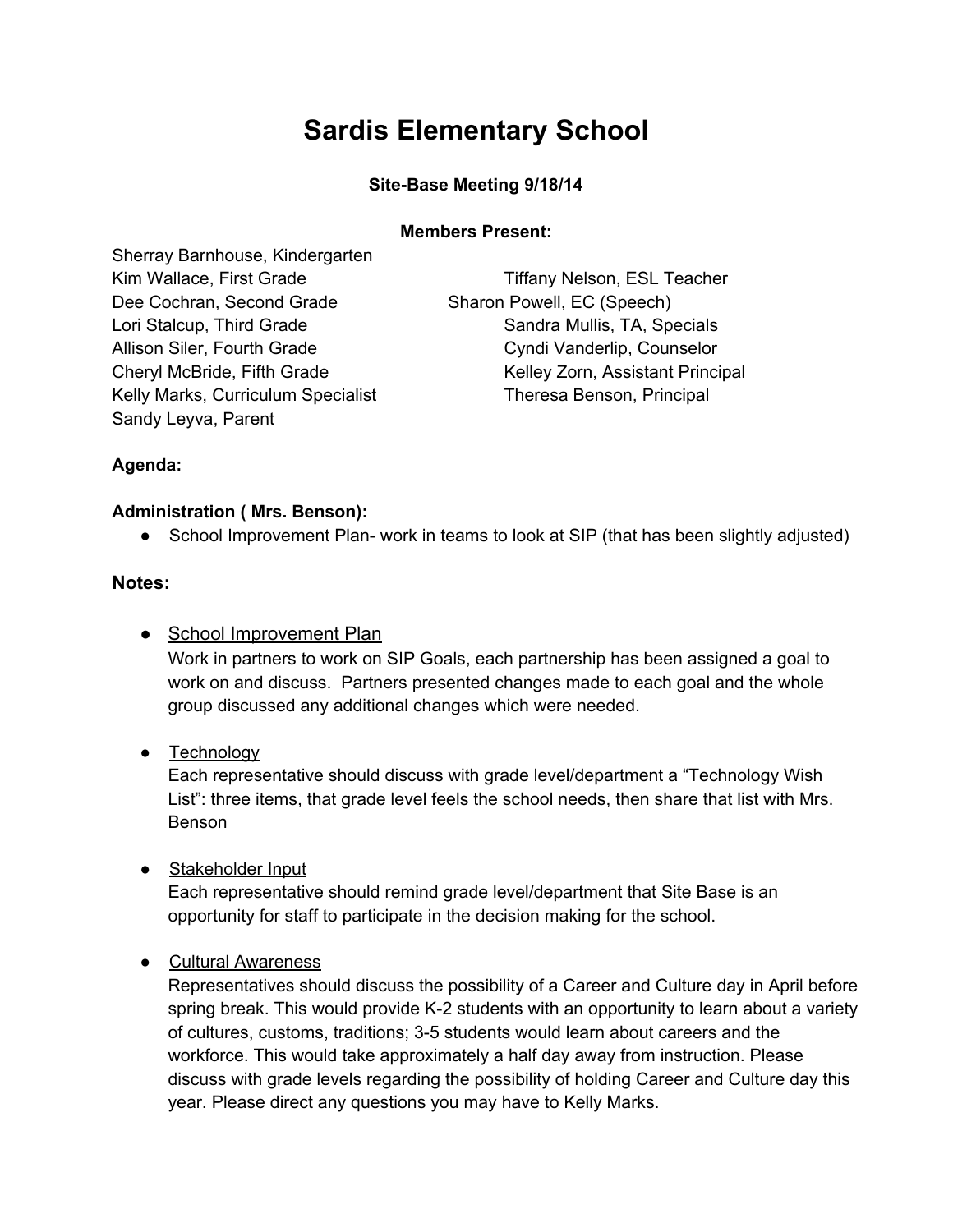# **Sardis Elementary School**

## **Site-Base Meeting 9/18/14**

#### **Members Present:**

Sherray Barnhouse, Kindergarten Dee Cochran, Second Grade Sharon Powell, EC (Speech) Lori Stalcup, Third Grade Sandra Mullis, TA, Specials Allison Siler, Fourth Grade Cyndi Vanderlip, Counselor Kelly Marks, Curriculum Specialist Theresa Benson, Principal Sandy Leyva, Parent

Kim Wallace, First Grade Tiffany Nelson, ESL Teacher Cheryl McBride, Fifth Grade Kelley Zorn, Assistant Principal

### **Agenda:**

#### **Administration ( Mrs. Benson):**

• School Improvement Plan- work in teams to look at SIP (that has been slightly adjusted)

#### **Notes:**

• School Improvement Plan

Work in partners to work on SIP Goals, each partnership has been assigned a goal to work on and discuss. Partners presented changes made to each goal and the whole group discussed any additional changes which were needed.

• Technology

Each representative should discuss with grade level/department a "Technology Wish List": three items, that grade level feels the school needs, then share that list with Mrs. Benson

● Stakeholder Input

Each representative should remind grade level/department that Site Base is an opportunity for staff to participate in the decision making for the school.

● Cultural Awareness

Representatives should discuss the possibility of a Career and Culture day in April before spring break. This would provide K-2 students with an opportunity to learn about a variety of cultures, customs, traditions; 35 students would learn about careers and the workforce. This would take approximately a half day away from instruction. Please discuss with grade levels regarding the possibility of holding Career and Culture day this year. Please direct any questions you may have to Kelly Marks.